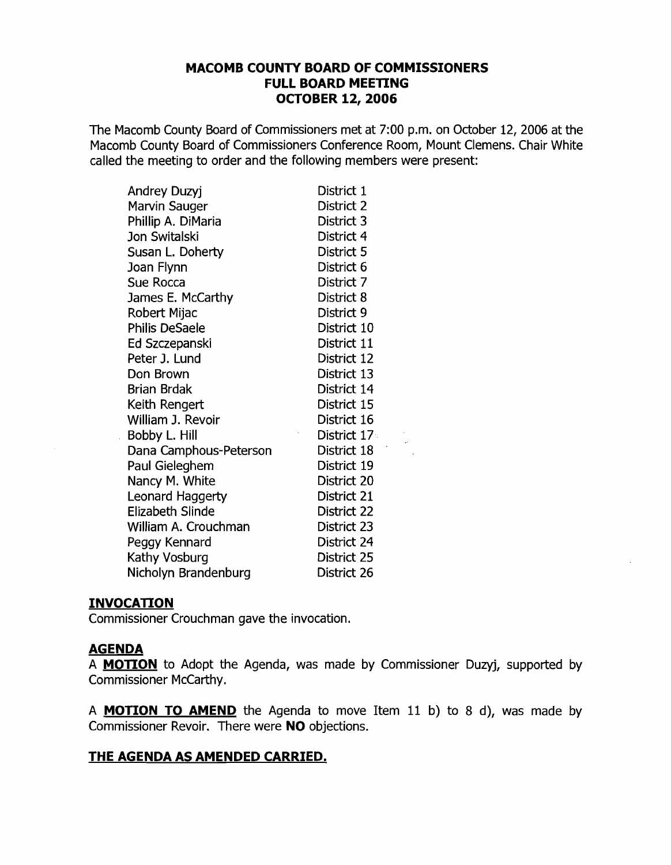### **MACOMB COUNTY BOARD OF COMMISSIONERS FULL BOARD MEETING OCTOBER 12, 2006**

The Macomb County Board of Commissioners met at 7:00 p.m. on October 12, 2006 at the Macomb County Board of Commissioners Conference Room, Mount Clemens. Chair White called the meeting to order and the following members were present:

| <b>Andrey Duzyj</b>     | District 1  |
|-------------------------|-------------|
| <b>Marvin Sauger</b>    | District 2  |
| Phillip A. DiMaria      | District 3  |
| <b>Jon Switalski</b>    | District 4  |
| Susan L. Doherty        | District 5  |
| Joan Flynn              | District 6  |
| Sue Rocca               | District 7  |
| James E. McCarthy       | District 8  |
| Robert Mijac            | District 9  |
| <b>Philis DeSaele</b>   | District 10 |
| Ed Szczepanski          | District 11 |
| Peter J. Lund           | District 12 |
| Don Brown               | District 13 |
| <b>Brian Brdak</b>      | District 14 |
| Keith Rengert           | District 15 |
| William J. Revoir       | District 16 |
| Bobby L. Hill           | District 17 |
| Dana Camphous-Peterson  | District 18 |
| Paul Gieleghem          | District 19 |
| Nancy M. White          | District 20 |
| Leonard Haggerty        | District 21 |
| <b>Elizabeth Slinde</b> | District 22 |
| William A. Crouchman    | District 23 |
| Peggy Kennard           | District 24 |
| Kathy Vosburg           | District 25 |
| Nicholyn Brandenburg    | District 26 |

#### **INVOCATION**

Commissioner Crouchman gave the invocation.

#### **AGENDA**

 $\sim$ 

 $\sim$ 

A **MOTION** to Adopt the Agenda, was made by Commissioner Duzyj, supported by Commissioner McCarthy.

A **MOTION TO AMEND** the Agenda to move Item 11 b) to 8 d), was made by Commissioner Revoir. There were **NO** objections.

### **THE AGENDA AS AMENDED CARRIED.**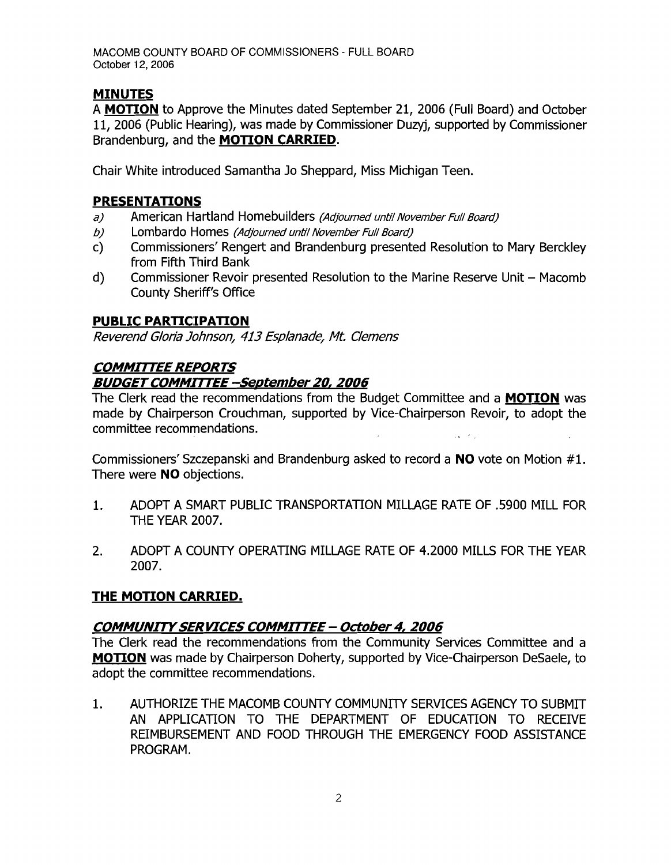# **MINUTES**

A **MOTION** to Approve the Minutes dated September 21, 2006 (Full Board) and October 11, 2006 (Public Hearing), was made by Commissioner Duzyj, supported by Commissioner Brandenburg, and the **MOTION CARRIED.** 

Chair White introduced Samantha Jo Sheppard, Miss Michigan Teen.

## **PRESENTATIONS**

- a) American Hartland Homebuilders (Adjourned until November Full Board)
- b) Lombardo Homes (Adjourned until November Full Board)
- c) Commissioners' Rengert and Brandenburg presented Resolution to Mary Berckley from Fifth Third Bank
- d) Commissioner Revoir presented Resolution to the Marine Reserve Unit Macomb County Sheriff's Office

# **PUBLIC PARTICIPATION**

Reverend Gloria Johnson, 413 Esplanade, Mt. Clemens

# **COMMIrrEE REPORTS**

### **BUDGET COMMITTEE -September 20, 2006**

The Clerk read the recommendations from the Budget Committee and a **MOTION** was made by Chairperson Crouchman, supported by Vice-Chairperson Revoir, to adopt the committee recommendations.

Commissioners' Szczepanski and Brandenburg asked to record a NO vote on Motion #1. There were **NO** objections.

- 1. ADOPT A SMART PUBLIC TRANSPORTATION MILLAGE RATE OF .5900 MILL FOR THE YEAR 2007.
- 2. ADOPT A COUNTY OPERATING MILLAGE RATE OF 4.2000 MILLS FOR THE YEAR 2007.

### **THE MOTION CARRIED.**

### **COMMUNITYSERVICES COMMIrrEE- October 4, 2006**

The Clerk read the recommendations from the Community Services Committee and a **MOTION** was made by Chairperson Doherty, supported by Vice-Chairperson DeSaele, to adopt the committee recommendations.

1. AUTHORIZE THE MACOMB COUNTY COMMUNITY SERVICES AGENCY TO SUBMIT AN APPLICATION TO THE DEPARTMENT OF EDUCATION TO RECEIVE REIMBURSEMENT AND FOOD THROUGH THE EMERGENCY FOOD ASSISTANCE PROGRAM.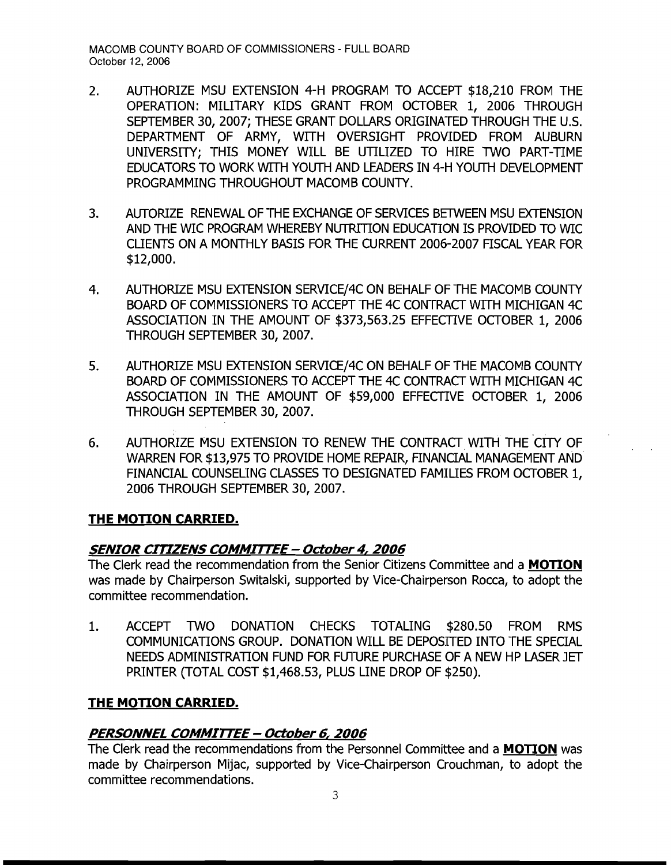- 2. AUTHORIZE MSU EXTENSION 4-H PROGRAM TO ACCEPT \$18,210 FROM THE OPERATION: MILITARY KIDS GRANT FROM OCTOBER 1, 2006 THROUGH SEPTEMBER 30, 2007; THESE GRANT DOLLARS ORIGINATED THROUGH THE U.S. DEPARTMENT OF ARMY, WITH OVERSIGHT PROVIDED FROM AUBURN UNIVERSITY; THIS MONEY WILL BE UTILIZED TO HIRE TWO PART-TIME EDUCATORS TO WORK WITH YOUTH AND LEADERS IN 4-H YOUTH DEVELOPMENT PROGRAMMING THROUGHOUT MACOMB COUNTY.
- 3. AUTORIZE RENEWAL OF THE EXCHANGE OF SERVICES BETWEEN MSU EXTENSION AND THE WIC PROGRAM WHEREBY NUTRITION EDUCATION IS PROVIDED TO WIC CLIENTS ON A MONTHLY BASIS FOR THE CURRENT 2006-2007 FISCAL YEAR FOR \$12,000.
- 4. AUTHORIZE MSU EXTENSION SERVICE/4C ON BEHALF OF THE MACOMB COUNTY BOARD OF COMMISSIONERS TO ACCEPT THE 4C CONTRACT WITH MICHIGAN 4C ASSOCIATION IN THE AMOUNT OF \$373,563.25 EFFECTIVE OCTOBER 1, 2006 THROUGH SEPTEMBER 30, 2007.
- 5. AUTHORIZE MSU EXTENSION SERVICE/4C ON BEHALF OF THE MACOMB COUNTY BOARD OF COMMISSIONERS TO ACCEPT THE 4C CONTRACT WITH MICHIGAN 4C ASSOCIATION IN THE AMOUNT OF \$59,000 EFFECTIVE OCTOBER 1, 2006 THROUGH SEPTEMBER 30,2007.
- 6. AUTHORIZE MSU EXTENSION TO RENEW THE CONTRACT WITH THE CITY OF WARREN FOR \$13,975 TO PROVIDE HOME REPAIR, FINANCIAL MANAGEMENT AND FINANCIAL COUNSELING CLASSES TO DESIGNATED FAMILIES FROM OCTOBER 1, 2006 THROUGH SEPTEMBER 30, 2007.

### **THE MOTION CARRIED.**

### **SENIOR CITIZENS COMMITTEE - October 4, 2006**

The Clerk read the recommendation from the Senior Citizens Committee and a **MOTION**  was made by Chairperson Switalski, supported by Vice-Chairperson Rocca, to adopt the committee recommendation.

1. ACCEPT TWO DONATION CHECKS TOTALING \$280.50 FROM RMS COMMUNICATIONS GROUP. DONATION WILL BE DEPOSITED INTO THE SPECIAL NEEDS ADMINISTRATION FUND FOR FLJTURE PURCHASE OF A NEW HP LASER JET PRINTER (TOTAL COST \$1,468.53, PLUS LINE DROP OF \$250).

#### **THE MOTION CARRIED.**

### **PERSONNEL COMMITTEE - October 6, 2006**

The Clerk read the recommendations from the Personnel Committee and a **MOTION** was made by Chairperson Mijac, supported by Vice-Chairperson Crouchman, to adopt the committee recommendations.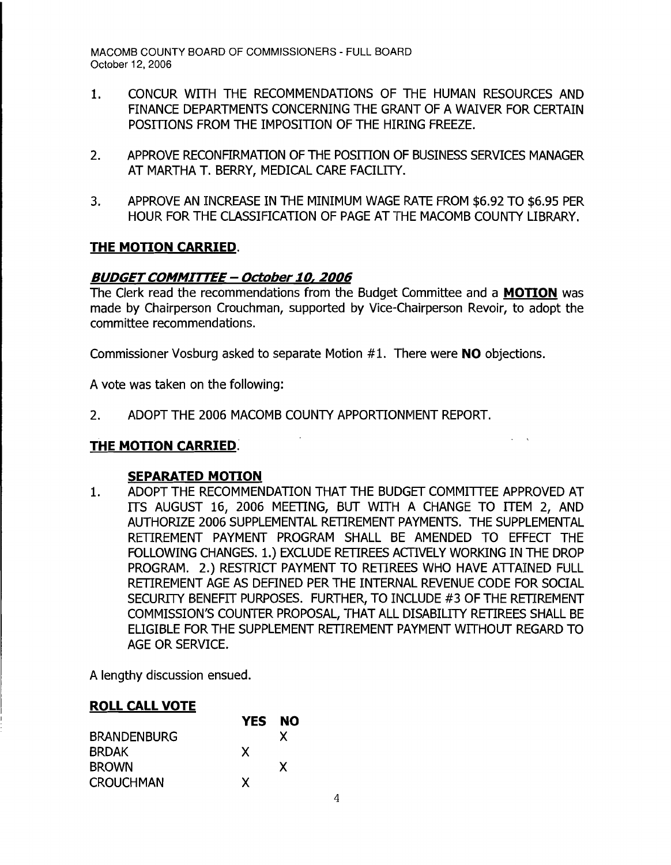- 1. CONCUR WITH THE RECOMMENDATIONS OF THE HUMAN RESOURCES AND FINANCE DEPARTMENTS CONCERNING THE GRANT OF A WAIVER FOR CERTAIN POSTTIONS FROM THE IMPOSITION OF THE HIRING FREEZE.
- 2. APPROVE RECONFIRMATION OF THE POSITION OF BUSINESS SERVICES MANAGER AT MARTHA T. BERRY, MEDICAL CARE FACILITY.
- 3. APPROVE AN INCREASE IN THE MINIMUM WAGE RATE FROM \$6.92 TO \$6.95 PER HOUR FOR THE CLASSIFICATION OF PAGE AT THE MACOMB COUNTY LIBRARY.

# **THE MOTION CARRIED.**

# **BUDGETCOMMITTEE - October10,2006**

The Clerk read the recommendations from the Budget Committee and a **MOTION** was made by Chairperson Crouchman, supported by Vice-Chairperson Revoir, to adopt the committee recommendations.

Commissioner Vosburg asked to separate Motion #1. There were **NO** objections.

A vote was taken on the following:

2. ADOPT THE 2006 MACOMB COUNTY APPORTIONMENT REPORT.

# **THE MOTION CARRIED.**

### **SEPARATED MOTION**

1. ADOPT THE RECOMMENDATION THAT THE BUDGET COMMITTEE APPROVED AT ITS AUGUST 16, 2006 MEETING, BUT WITH A CHANGE TO ITEM 2, AND AUTHORIZE 2006 SUPPLEMENTAL RETIREMENT PAYMENTS. THE SUPPLEMENTAL RETIREMENT PAYMENT PROGRAM SHALL BE AMENDED TO EFFECT THE FOLLOWING CHANGES. 1.) EXCLUDE RETIREES ACTIVELY WORKING IN THE DROP PROGRAM. 2.) RESTRICT PAYMENT TO RETIREES WHO HAVE ATTAINED FULL RETIREMENT AGE AS DEFINED PER THE INTERNAL REVENUE CODE FOR SOCIAL SECURITY BENEFIT PURPOSES. FURTHER, TO INCLUDE #3 OF THE RETIREMENT COMMISSION'S COUNTER PROPOSAL, THAT ALL DISABILITY RETIREES SHALL BE ELIGIBLE FOR THE SUPPLEMENT RETIREMENT PAYMENT WITHOUT REGARD TO AGE OR SERVICE.

A lengthy discussion ensued.

#### **ROLL CALL VOTE**

|                    | <b>YES</b> | <b>NO</b> |
|--------------------|------------|-----------|
| <b>BRANDENBURG</b> |            | x         |
| <b>BRDAK</b>       | X          |           |
| <b>BROWN</b>       |            | X         |
| <b>CROUCHMAN</b>   | x          |           |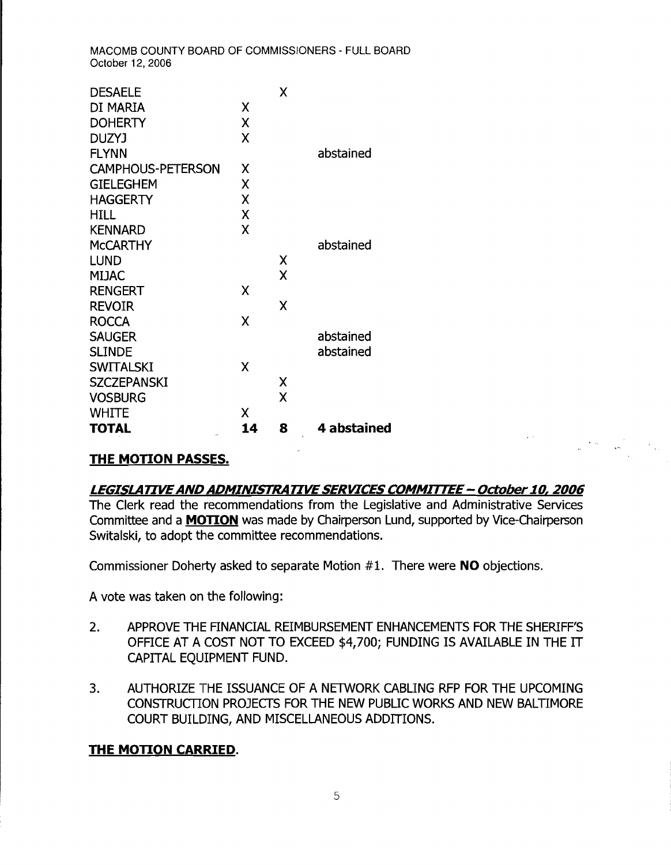| <b>DESAELE</b>                       |    | X |             |
|--------------------------------------|----|---|-------------|
| DI MARIA                             | X  |   |             |
| <b>DOHERTY</b>                       | χ  |   |             |
| <b>DUZYJ</b>                         | Χ  |   |             |
| <b>FLYNN</b>                         |    |   | abstained   |
| <b>CAMPHOUS-PETERSON</b>             | χ  |   |             |
| <b>GIELEGHEM</b>                     | χ  |   |             |
| <b>HAGGERTY</b>                      | χ  |   |             |
| <b>HILL</b>                          | χ  |   |             |
| <b>KENNARD</b>                       | Χ  |   |             |
| <b>MCCARTHY</b>                      |    |   | abstained   |
| <b>LUND</b>                          |    | χ |             |
| MIJAC                                |    | X |             |
| <b>RENGERT</b>                       | X  |   |             |
| <b>REVOIR</b>                        |    | X |             |
| <b>ROCCA</b>                         | χ  |   |             |
| <b>SAUGER</b>                        |    |   | abstained   |
| <b>SLINDE</b>                        |    |   | abstained   |
| <b>SWITALSKI</b>                     | χ  |   |             |
| <b>SZCZEPANSKI</b>                   |    | Χ |             |
| <b>VOSBURG</b>                       |    | X |             |
| <b>WHITE</b>                         | χ  |   |             |
| <b>TOTAL</b><br>$\ddot{\phantom{a}}$ | 14 | 8 | 4 abstained |

### **THE MOTION PASSES.**

#### **LEGISLATIVE AND ADMINISTRATIVE SERVICES COMMITTEE - October 10, 2006**

 $\label{eq:2} \mu_{\rm c} = \frac{8\pi\omega}{\omega_{\rm c}} = \frac{1}{8\pi\omega_{\rm c}} = \frac{1}{2\pi\omega_{\rm c}}.$ 

The Clerk read the recommendations from the Legislative and Administrative Services Committee and a **MOTION** was made by Chairperson Lund, supported by Vice-Chairperson Switalski, to adopt the committee recommendations.

Commissioner Doherty asked to separate Motion #1. There were **NO** objections.

A vote was taken on the following:

- 2. APPROVE THE FINANCIAL REIMBURSEMENT ENHANCEMENTS FOR THE SHERIFF'S OFFICE AT A COST NOT TO EXCEED \$4,700; FUNDING IS AVAILABLE IN THE IT CAPITAL EQUIPMENT FUND.
- 3. AUTHORIZE THE ISSUANCE OF A NETWORK CABLING RFP FOR THE UPCOMING CONSTRUCTION PROJECTS FOR THE NEW PUBLIC WORKS AND NEW BALTIMORE COURT BUILDING, AND MISCELLANEOUS ADDITIONS.

### **THE MOTION CARRIED.**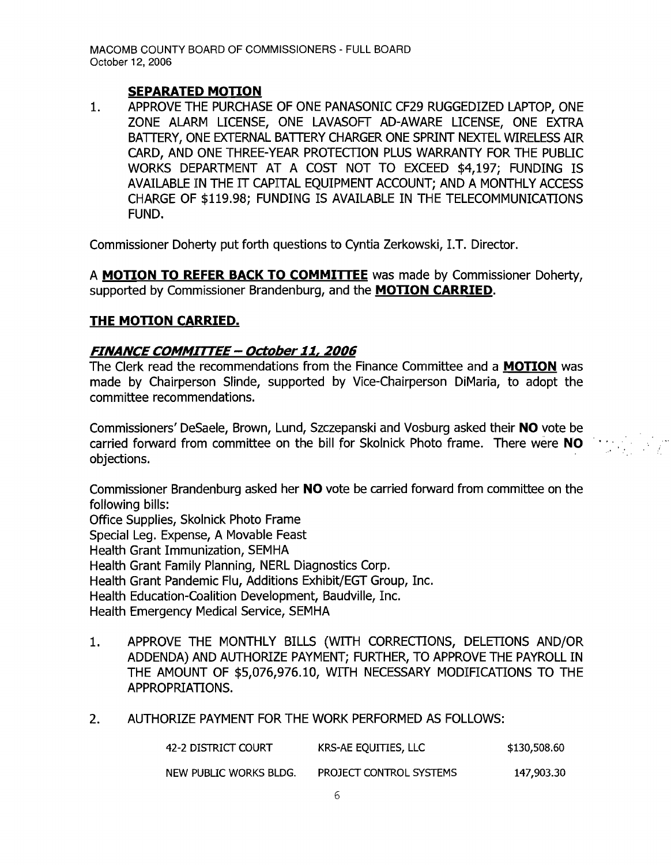#### **SEPARATED MOTION**

1. APPROVE THE PURCHASE OF ONE PANASONIC CF29 RUGGEDIZED LAPTOP, ONE ZONE ALARM LICENSE, ONE LAVASOFT AD-AWARE LICENSE, ONE EXTRA BATTERY, ONE EXTERNAL BATTERY CHARGER ONE SPRINT NEXTEL WIRELESS AIR CARD, AND ONE THREE-YEAR PROTECTION PLUS WARRANTY FOR THE PUBLIC WORKS DEPARTMENT AT A COST NOT TO EXCEED \$4,197; FUNDING IS AVAILABLE IN THE IT CAPITAL EQUIPMENT ACCOUNT; AND A MONTHLY ACCESS CHARGE OF \$119.98; FUNDING IS AVAILABLE IN THE TELECOMMUNICATIONS FUND.

Commissioner Doherty put forth questions to Cyntia Zerkowski, LT. Director.

A **MOTION TO REFER BACK TO COMMITTEE** was made by Commissioner Doherty, supported by Commissioner Brandenburg, and the **MOTION CARRIED.** 

#### **THE MOTION CARRIED.**

#### **FINANCE COMMIrrEE- October 11, 2006**

The Clerk read the recommendations from the Finance Committee and a **MOTION** was made by Chairperson Slinde, supported by Vice-Chairperson DiMaria, to adopt the committee recommendations.

Commissioners' DeSaele, Brown, Lund, Szczepanski and Vosburg asked their **NO** vote be carried forward from committee on the bill for Skolnick Photo frame. There were **NO**  objections.

Commissioner Brandenburg asked her **NO** vote be carried forward from committee on the following bills: Office Supplies, Skolnick Photo Frame Special Leg. Expense, A Movable Feast Health Grant Immunization, SEMHA Health Grant Family Planning, NERL Diagnostics Corp. Health Grant Pandemic Flu, Additions Exhibit/EGT Group, Inc. Health Education-Coalition Development, Baudville, Inc. Health Emergency Medical Service, SEMHA

- 1. APPROVE THE MONTHLY BILLS (WITH CORRECTIONS, DELETIONS AND/OR ADDENDA) AND AUTHORIZE PAYMENT; FURTHER, TO APPROVE THE PAYROLL IN THE AMOUNT OF \$5,076,976.10, WITH NECESSARY MODIFICATIONS TO THE APPROPRIATIONS.
- 2. AUTHORIZE PAYMENT FOR THE WORK PERFORMED AS FOLLOWS:

| 42-2 DISTRICT COURT    | KRS-AE EQUITIES, LLC    | \$130,508.60 |
|------------------------|-------------------------|--------------|
| NEW PUBLIC WORKS BLDG. | PROJECT CONTROL SYSTEMS | 147,903.30   |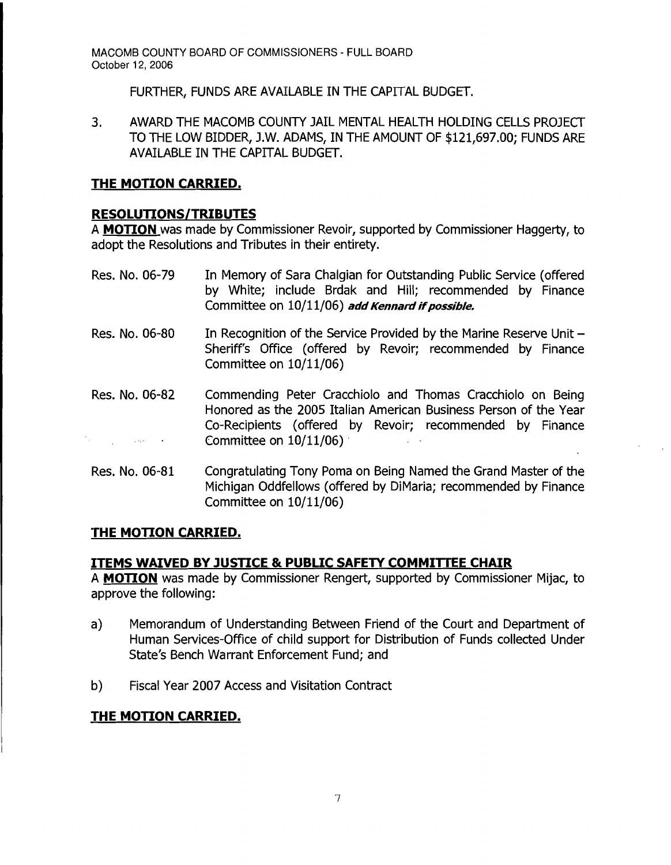FURTHER, FUNDS ARE AVAILABLE IN THE CAPITAL BUDGET.

3. AWARD THE MACOMB COUNTY JAIL MENTAL HEALTH HOLDING CELLS PROJECT TO THE LOW BIDDER, J.W. ADAMS, IN THE AMOUNT OF \$121,697.00; FUNDS ARE AVAILABLE IN THE CAPITAL BUDGET.

# **THE MOTION CARRIED.**

# **RESOLUTIONS/TRIBUTES**

A **MOTION** was made by Commissioner Revoir, supported by Commissioner Haggerty, to adopt the Resolutions and Tributes in their entirety.

- Res. No. 06-79 In Memory of Sara Chalgian for Outstanding Public Service (offered by White; include Brdak and Hill; recommended by Finance Committee on 10/11/06) add Kennard if possible.
- Res. No. 06-80 In Recognition of the Service Provided by the Marine Reserve Unit -Sheriff's Office (offered by Revoir; recommended by Finance Committee on 10/11/06)
- Res. No. 06-82 Commending Peter Cracchiolo and Thomas Cracchiolo on Being Honored as the 2005 Italian American Business Person of the Year Co-Recipients (offered by Revoir; recommended by Finance Committee on 10/11/06) .  $\mathcal{M}^{\mathcal{A}}_{\mathcal{A}}$  , where  $\mathcal{M}^{\mathcal{A}}_{\mathcal{A}}$  , where  $\mathcal{M}^{\mathcal{A}}_{\mathcal{A}}$
- Res. No. 06-81 Congratulating Tony Poma on Being Named the Grand Master of the Michigan Oddfellows (offered by DiMaria; recommended by Finance Committee on 10/11/06)

# **THE MOTION CARRIED.**

### **ITEMS WAIVED BY JUSTICE & PUBLIC SAFETY COMMITIEE CHAIR**

A **MOTION** was made by Commissioner Rengert, supported by Commissioner Mijac, to approve the following:

- a) Memorandum of Understanding Between Friend of the Court and Department of Human Services-Office of child support for Distribution of Funds collected Under State's Bench Warrant Enforcement Fund; and
- b) Fiscal Year 2007 Access and Visitation Contract

# **THE MOTION CARRIED.**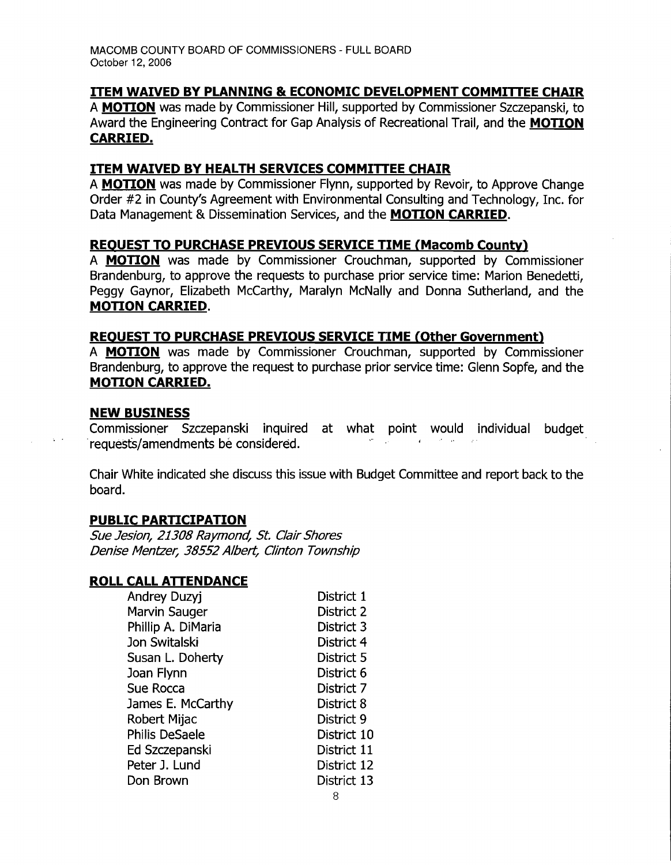### **ITEM WAIVED BY PLANNING & ECONOMIC DEVELOPMENT COMMITTEE CHAIR**

A **MOTION** was made by Commissioner Hill, supported by Commissioner Szczepanski, to Award the Engineering Contract for Gap Analysis of Recreational Trail, and the **MOTION CARRIED.** 

## **ITEM WAIVED BY HEALTH SERVICES COMMITTEE CHAIR**

A **MOTION** was made by Commissioner Flynn, supported by Revoir, to Approve Change Order #2 in County's Agreement with Environmental Consulting and Technology, Inc. for Data Management & Dissemination Services, and the **MOTION CARRIED.** 

### **REOUEST TO PURCHASE PREVIOUS SERVICE TIME (Macomb County)**

A **MOTION** was made by Commissioner Crouchman, supported by Commissioner Brandenburg, to approve the requests to purchase prior service time: Marion Benedetti, Peggy Gaynor, Elizabeth McCarthy, Maralyn McNally and Donna Sutherland, and the **MOTION CARRIED.** 

#### **REQUEST TO PURCHASE PREVIOUS SERVICE TIME (Other Government)**

A **MOTION** was made by Commissioner Crouchman, supported by Commissioner Brandenburg, to approve the request to purchase prior service time: Glenn Sopfe, and the **MOTION CARRIED.** 

#### **NEW BUSINESS**

Commissioner Szczepanski inquired at what point would individual budget requests/amendments be considered.

Chair White indicated she discuss this issue with Budget Committee and report back to the board.

### **PUBLIC PARTICIPATION**

Sue Jesion, 21308 Raymond, St. Clair Shores Denise Mentzer, 38552 Albert, Clinton Township

### **ROLL CALL ATTENDANCE**

| Andrey Duzyj          | District 1  |
|-----------------------|-------------|
| Marvin Sauger         | District 2  |
| Phillip A. DiMaria    | District 3  |
| Jon Switalski         | District 4  |
| Susan L. Doherty      | District 5  |
| Joan Flynn            | District 6  |
| Sue Rocca             | District 7  |
| James E. McCarthy     | District 8  |
| Robert Mijac          | District 9  |
| <b>Philis DeSaele</b> | District 10 |
| Ed Szczepanski        | District 11 |
| Peter J. Lund         | District 12 |
| Don Brown             | District 13 |